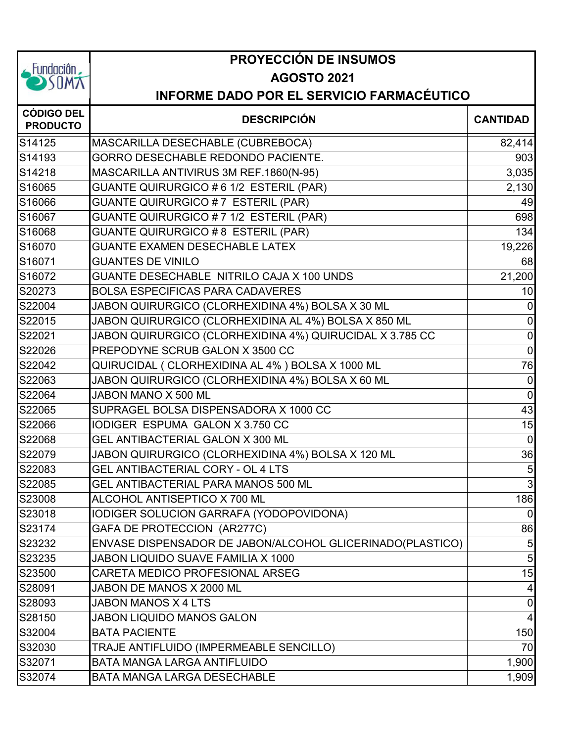|                                                                            | <b>PROYECCIÓN DE INSUMOS</b>                                           |                 |  |
|----------------------------------------------------------------------------|------------------------------------------------------------------------|-----------------|--|
| $\overline{\phantom{a}}$ Fundaciôn $\overline{\phantom{a}}$<br><b>SUMA</b> | <b>AGOSTO 2021</b><br><b>INFORME DADO POR EL SERVICIO FARMACÉUTICO</b> |                 |  |
|                                                                            |                                                                        |                 |  |
| <b>CÓDIGO DEL</b><br><b>PRODUCTO</b>                                       | <b>DESCRIPCIÓN</b>                                                     | <b>CANTIDAD</b> |  |
| S14125                                                                     | MASCARILLA DESECHABLE (CUBREBOCA)                                      | 82,414          |  |
| S14193                                                                     | GORRO DESECHABLE REDONDO PACIENTE.                                     | 903             |  |
| S14218                                                                     | MASCARILLA ANTIVIRUS 3M REF.1860(N-95)                                 | 3,035           |  |
| S16065                                                                     | GUANTE QUIRURGICO # 6 1/2 ESTERIL (PAR)                                | 2,130           |  |
| S16066                                                                     | GUANTE QUIRURGICO # 7 ESTERIL (PAR)                                    | 49              |  |
| S16067                                                                     | GUANTE QUIRURGICO # 7 1/2 ESTERIL (PAR)                                | 698             |  |
| S16068                                                                     | <b>GUANTE QUIRURGICO # 8 ESTERIL (PAR)</b>                             | 134             |  |
| S16070                                                                     | <b>GUANTE EXAMEN DESECHABLE LATEX</b>                                  | 19,226          |  |
| S16071                                                                     | <b>GUANTES DE VINILO</b>                                               | 68              |  |
| S16072                                                                     | GUANTE DESECHABLE NITRILO CAJA X 100 UNDS                              | 21,200          |  |
| S20273                                                                     | <b>BOLSA ESPECIFICAS PARA CADAVERES</b>                                | 10              |  |
| S22004                                                                     | JABON QUIRURGICO (CLORHEXIDINA 4%) BOLSA X 30 ML                       | $\mathbf 0$     |  |
| S22015                                                                     | JABON QUIRURGICO (CLORHEXIDINA AL 4%) BOLSA X 850 ML                   | $\pmb{0}$       |  |
| S22021                                                                     | JABON QUIRURGICO (CLORHEXIDINA 4%) QUIRUCIDAL X 3.785 CC               | $\mathbf 0$     |  |
| S22026                                                                     | PREPODYNE SCRUB GALON X 3500 CC                                        | $\mathbf 0$     |  |
| S22042                                                                     | QUIRUCIDAL ( CLORHEXIDINA AL 4% ) BOLSA X 1000 ML                      | 76              |  |
| S22063                                                                     | JABON QUIRURGICO (CLORHEXIDINA 4%) BOLSA X 60 ML                       | $\mathbf 0$     |  |
| S22064                                                                     | JABON MANO X 500 ML                                                    | $\mathbf 0$     |  |
| S22065                                                                     | SUPRAGEL BOLSA DISPENSADORA X 1000 CC                                  | 43              |  |
| S22066                                                                     | IODIGER ESPUMA GALON X 3.750 CC                                        | 15              |  |
| S22068                                                                     | GEL ANTIBACTERIAL GALON X 300 ML                                       | $\overline{0}$  |  |
| S22079                                                                     | JABON QUIRURGICO (CLORHEXIDINA 4%) BOLSA X 120 ML                      | 36              |  |
| S22083                                                                     | GEL ANTIBACTERIAL CORY - OL 4 LTS                                      | $\overline{5}$  |  |
| S22085                                                                     | GEL ANTIBACTERIAL PARA MANOS 500 ML                                    | 3               |  |
| S23008                                                                     | ALCOHOL ANTISEPTICO X 700 ML                                           | 186             |  |
| S23018                                                                     | IODIGER SOLUCION GARRAFA (YODOPOVIDONA)                                | $\overline{0}$  |  |
| S23174                                                                     | GAFA DE PROTECCION (AR277C)                                            | 86              |  |
| S23232                                                                     | ENVASE DISPENSADOR DE JABON/ALCOHOL GLICERINADO(PLASTICO)              | 5               |  |
| S23235                                                                     | JABON LIQUIDO SUAVE FAMILIA X 1000                                     | 5               |  |
| S23500                                                                     | CARETA MEDICO PROFESIONAL ARSEG                                        | 15              |  |
| S28091                                                                     | JABON DE MANOS X 2000 ML                                               | 4               |  |
| S28093                                                                     | JABON MANOS X 4 LTS                                                    | $\mathbf 0$     |  |
| S28150                                                                     | <b>JABON LIQUIDO MANOS GALON</b>                                       | $\overline{4}$  |  |
| S32004                                                                     | <b>BATA PACIENTE</b>                                                   | 150             |  |
| S32030                                                                     | TRAJE ANTIFLUIDO (IMPERMEABLE SENCILLO)                                | 70              |  |
| S32071                                                                     | <b>BATA MANGA LARGA ANTIFLUIDO</b>                                     | 1,900           |  |
| S32074                                                                     | BATA MANGA LARGA DESECHABLE                                            | 1,909           |  |